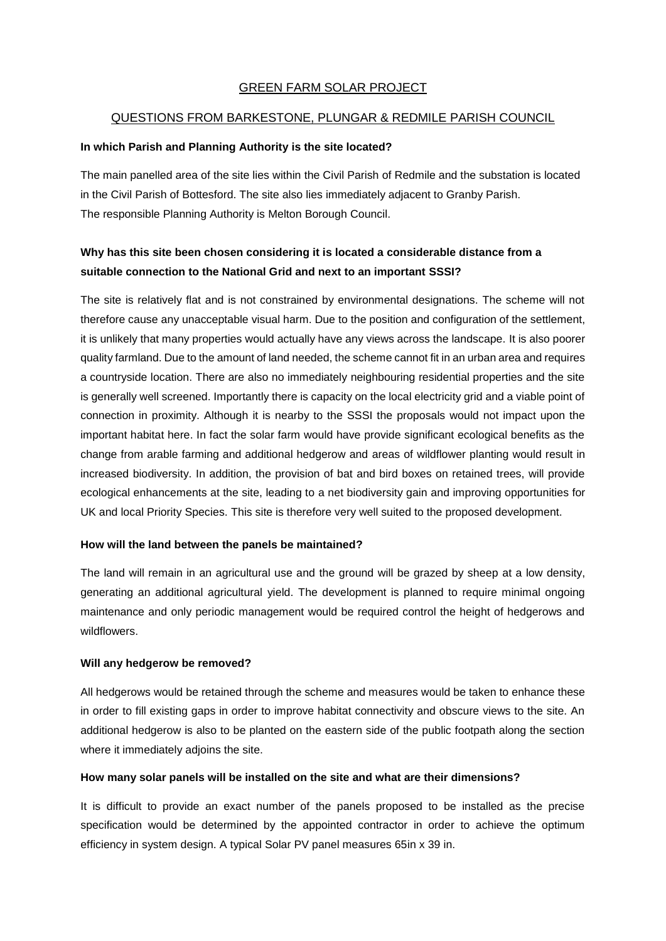### GREEN FARM SOLAR PROJECT

### QUESTIONS FROM BARKESTONE, PLUNGAR & REDMILE PARISH COUNCIL

#### **In which Parish and Planning Authority is the site located?**

The main panelled area of the site lies within the Civil Parish of Redmile and the substation is located in the Civil Parish of Bottesford. The site also lies immediately adjacent to Granby Parish. The responsible Planning Authority is Melton Borough Council.

### **Why has this site been chosen considering it is located a considerable distance from a suitable connection to the National Grid and next to an important SSSI?**

The site is relatively flat and is not constrained by environmental designations. The scheme will not therefore cause any unacceptable visual harm. Due to the position and configuration of the settlement, it is unlikely that many properties would actually have any views across the landscape. It is also poorer quality farmland. Due to the amount of land needed, the scheme cannot fit in an urban area and requires a countryside location. There are also no immediately neighbouring residential properties and the site is generally well screened. Importantly there is capacity on the local electricity grid and a viable point of connection in proximity. Although it is nearby to the SSSI the proposals would not impact upon the important habitat here. In fact the solar farm would have provide significant ecological benefits as the change from arable farming and additional hedgerow and areas of wildflower planting would result in increased biodiversity. In addition, the provision of bat and bird boxes on retained trees, will provide ecological enhancements at the site, leading to a net biodiversity gain and improving opportunities for UK and local Priority Species. This site is therefore very well suited to the proposed development.

#### **How will the land between the panels be maintained?**

The land will remain in an agricultural use and the ground will be grazed by sheep at a low density, generating an additional agricultural yield. The development is planned to require minimal ongoing maintenance and only periodic management would be required control the height of hedgerows and wildflowers.

#### **Will any hedgerow be removed?**

All hedgerows would be retained through the scheme and measures would be taken to enhance these in order to fill existing gaps in order to improve habitat connectivity and obscure views to the site. An additional hedgerow is also to be planted on the eastern side of the public footpath along the section where it immediately adjoins the site.

#### **How many solar panels will be installed on the site and what are their dimensions?**

It is difficult to provide an exact number of the panels proposed to be installed as the precise specification would be determined by the appointed contractor in order to achieve the optimum efficiency in system design. A typical Solar PV panel measures 65in x 39 in.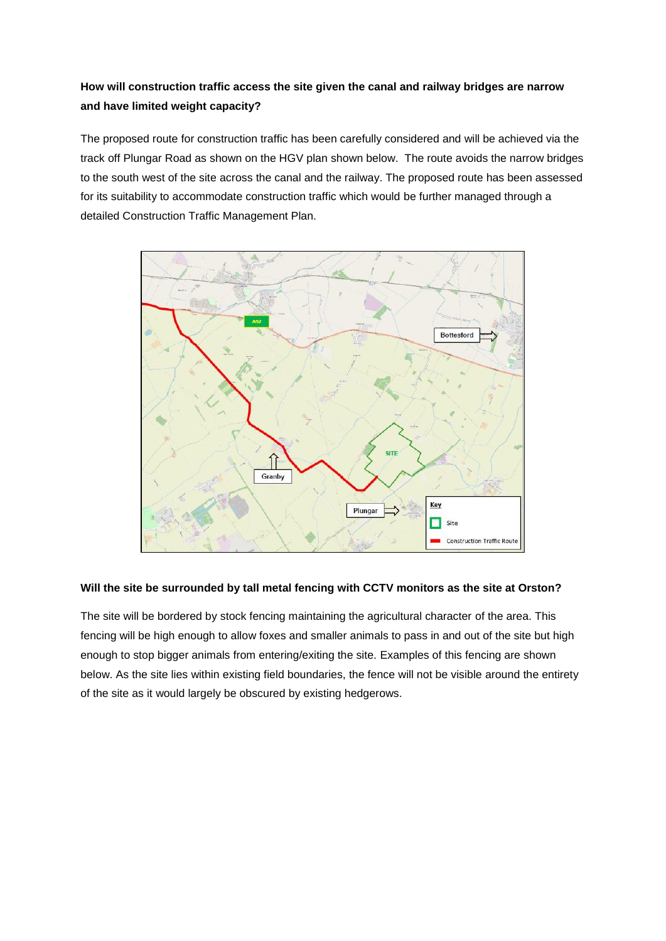# **How will construction traffic access the site given the canal and railway bridges are narrow and have limited weight capacity?**

The proposed route for construction traffic has been carefully considered and will be achieved via the track off Plungar Road as shown on the HGV plan shown below. The route avoids the narrow bridges to the south west of the site across the canal and the railway. The proposed route has been assessed for its suitability to accommodate construction traffic which would be further managed through a detailed Construction Traffic Management Plan.



#### **Will the site be surrounded by tall metal fencing with CCTV monitors as the site at Orston?**

The site will be bordered by stock fencing maintaining the agricultural character of the area. This fencing will be high enough to allow foxes and smaller animals to pass in and out of the site but high enough to stop bigger animals from entering/exiting the site. Examples of this fencing are shown below. As the site lies within existing field boundaries, the fence will not be visible around the entirety of the site as it would largely be obscured by existing hedgerows.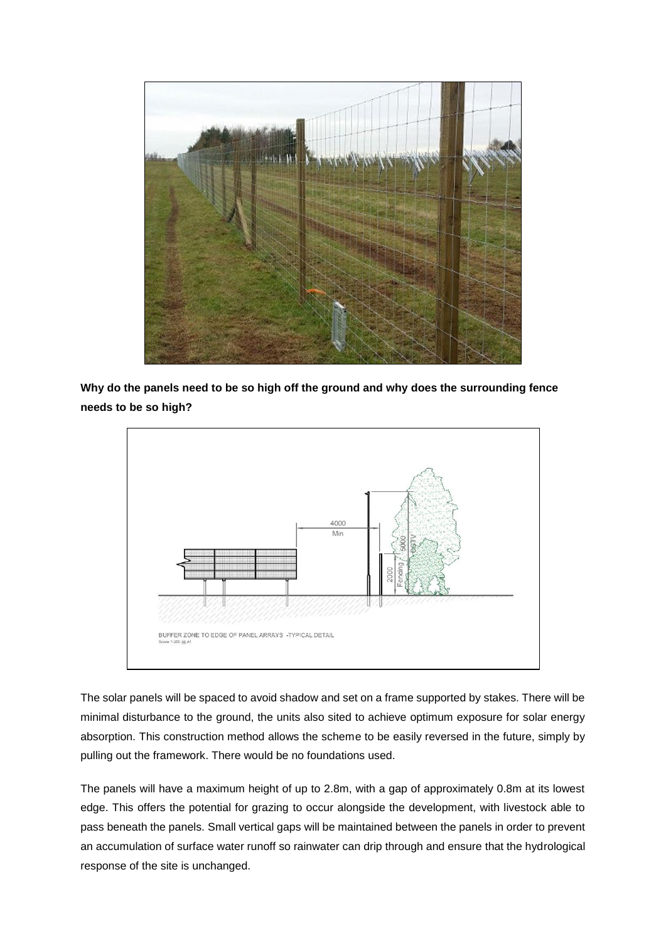

**Why do the panels need to be so high off the ground and why does the surrounding fence needs to be so high?**



The solar panels will be spaced to avoid shadow and set on a frame supported by stakes. There will be minimal disturbance to the ground, the units also sited to achieve optimum exposure for solar energy absorption. This construction method allows the scheme to be easily reversed in the future, simply by pulling out the framework. There would be no foundations used.

The panels will have a maximum height of up to 2.8m, with a gap of approximately 0.8m at its lowest edge. This offers the potential for grazing to occur alongside the development, with livestock able to pass beneath the panels. Small vertical gaps will be maintained between the panels in order to prevent an accumulation of surface water runoff so rainwater can drip through and ensure that the hydrological response of the site is unchanged.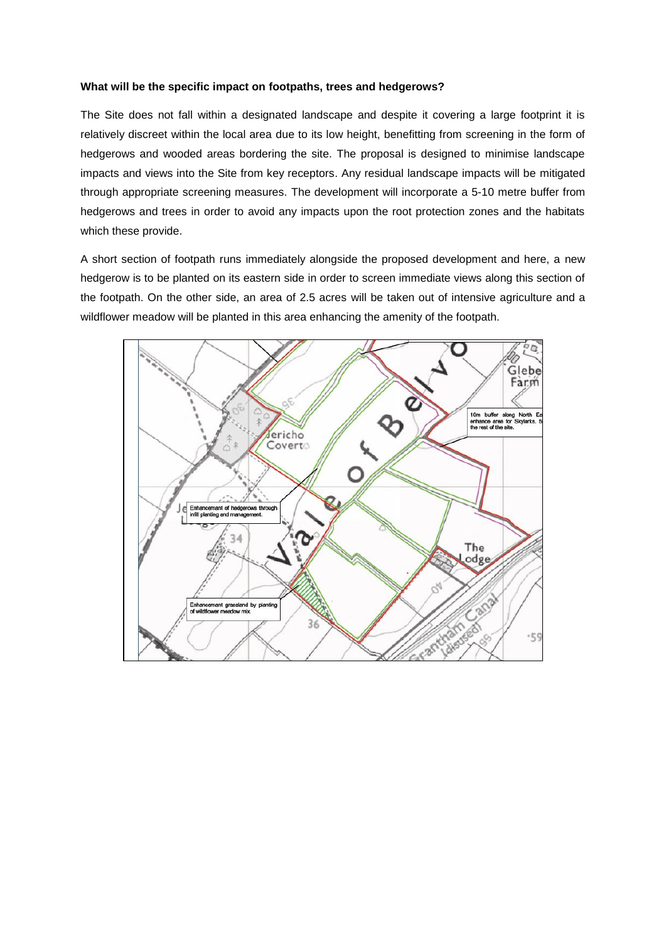#### **What will be the specific impact on footpaths, trees and hedgerows?**

The Site does not fall within a designated landscape and despite it covering a large footprint it is relatively discreet within the local area due to its low height, benefitting from screening in the form of hedgerows and wooded areas bordering the site. The proposal is designed to minimise landscape impacts and views into the Site from key receptors. Any residual landscape impacts will be mitigated through appropriate screening measures. The development will incorporate a 5-10 metre buffer from hedgerows and trees in order to avoid any impacts upon the root protection zones and the habitats which these provide.

A short section of footpath runs immediately alongside the proposed development and here, a new hedgerow is to be planted on its eastern side in order to screen immediate views along this section of the footpath. On the other side, an area of 2.5 acres will be taken out of intensive agriculture and a wildflower meadow will be planted in this area enhancing the amenity of the footpath.

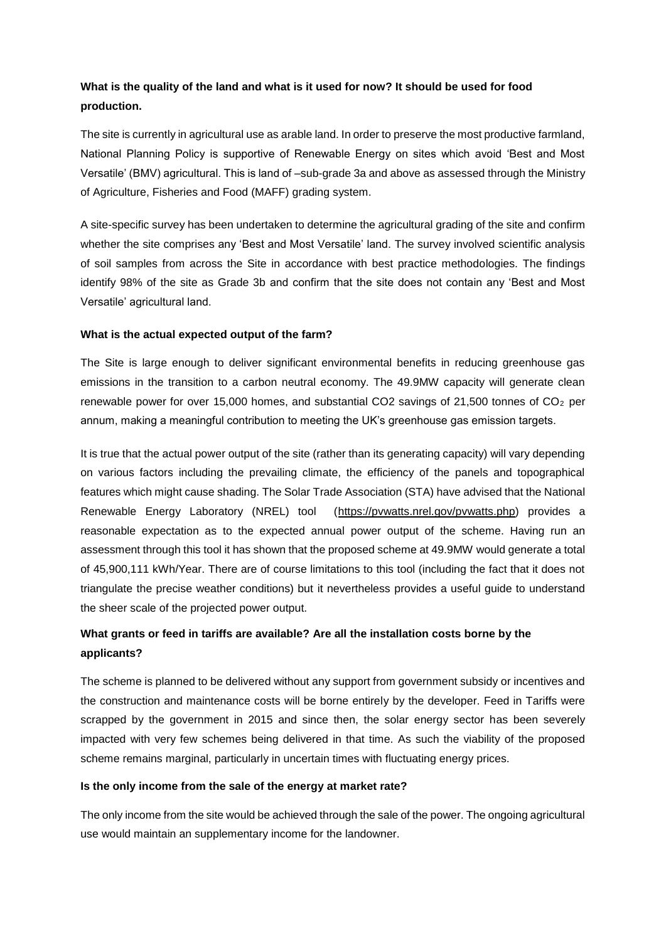### **What is the quality of the land and what is it used for now? It should be used for food production.**

The site is currently in agricultural use as arable land. In order to preserve the most productive farmland, National Planning Policy is supportive of Renewable Energy on sites which avoid 'Best and Most Versatile' (BMV) agricultural. This is land of –sub-grade 3a and above as assessed through the Ministry of Agriculture, Fisheries and Food (MAFF) grading system.

A site-specific survey has been undertaken to determine the agricultural grading of the site and confirm whether the site comprises any 'Best and Most Versatile' land. The survey involved scientific analysis of soil samples from across the Site in accordance with best practice methodologies. The findings identify 98% of the site as Grade 3b and confirm that the site does not contain any 'Best and Most Versatile' agricultural land.

#### **What is the actual expected output of the farm?**

The Site is large enough to deliver significant environmental benefits in reducing greenhouse gas emissions in the transition to a carbon neutral economy. The 49.9MW capacity will generate clean renewable power for over 15,000 homes, and substantial CO2 savings of 21,500 tonnes of CO2 per annum, making a meaningful contribution to meeting the UK's greenhouse gas emission targets.

It is true that the actual power output of the site (rather than its generating capacity) will vary depending on various factors including the prevailing climate, the efficiency of the panels and topographical features which might cause shading. The Solar Trade Association (STA) have advised that the National Renewable Energy Laboratory (NREL) tool [\(https://pvwatts.nrel.gov/pvwatts.php\)](https://pvwatts.nrel.gov/pvwatts.php) provides a reasonable expectation as to the expected annual power output of the scheme. Having run an assessment through this tool it has shown that the proposed scheme at 49.9MW would generate a total of 45,900,111 kWh/Year. There are of course limitations to this tool (including the fact that it does not triangulate the precise weather conditions) but it nevertheless provides a useful guide to understand the sheer scale of the projected power output.

### **What grants or feed in tariffs are available? Are all the installation costs borne by the applicants?**

The scheme is planned to be delivered without any support from government subsidy or incentives and the construction and maintenance costs will be borne entirely by the developer. Feed in Tariffs were scrapped by the government in 2015 and since then, the solar energy sector has been severely impacted with very few schemes being delivered in that time. As such the viability of the proposed scheme remains marginal, particularly in uncertain times with fluctuating energy prices.

#### **Is the only income from the sale of the energy at market rate?**

The only income from the site would be achieved through the sale of the power. The ongoing agricultural use would maintain an supplementary income for the landowner.